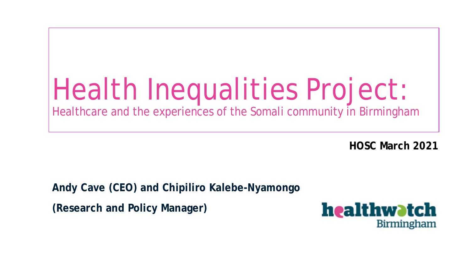# Health Inequalities Project:

Healthcare and the experiences of the Somali community in Birmingham

**HOSC March 2021**

**Andy Cave (CEO) and Chipiliro Kalebe-Nyamongo**

**(Research and Policy Manager)**

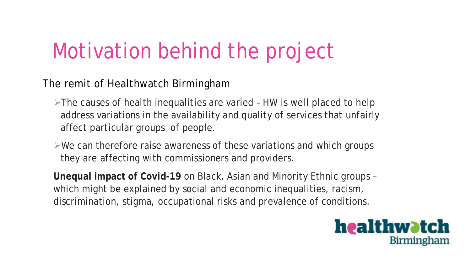# Motivation behind the project

The remit of Healthwatch Birmingham

- $\triangleright$ The causes of health inequalities are varied HW is well placed to help address variations in the availability and quality of services that unfairly affect particular groups of people.
- $\triangleright$ We can therefore raise awareness of these variations and which groups they are affecting with commissioners and providers.

**Unequal impact of Covid-19** on Black, Asian and Minority Ethnic groups – which might be explained by social and economic inequalities, racism, discrimination, stigma, occupational risks and prevalence of conditions.

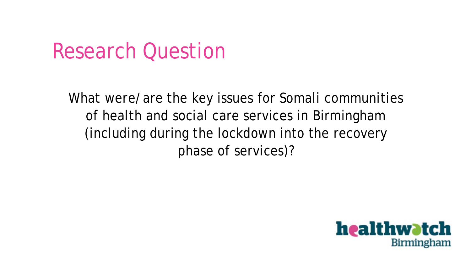### Research Question

What were/are the key issues for Somali communities of health and social care services in Birmingham (including during the lockdown into the recovery phase of services)?

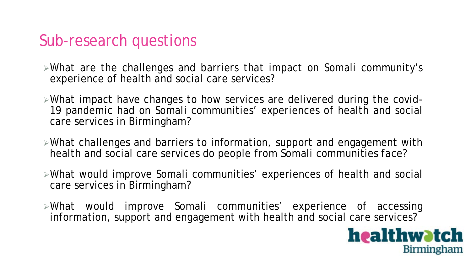#### Sub-research questions

- What are the challenges and barriers that impact on Somali community's experience of health and social care services?
- What impact have changes to how services are delivered during the covid-19 pandemic had on Somali communities' experiences of health and social care services in Birmingham?
- What challenges and barriers to information, support and engagement with health and social care services do people from Somali communities face?
- What would improve Somali communities' experiences of health and social care services in Birmingham?
- What would improve Somali communities' experience of accessing information, support and engagement with health and social care services?

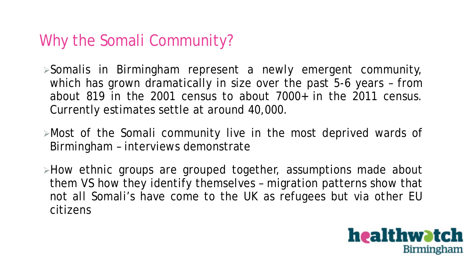### Why the Somali Community?

Somalis in Birmingham represent a newly emergent community, which has grown dramatically in size over the past 5-6 years – from about 819 in the 2001 census to about 7000+ in the 2011 census. Currently estimates settle at around 40,000.

- Most of the Somali community live in the most deprived wards of Birmingham – interviews demonstrate
- >How ethnic groups are grouped together, assumptions made about them VS how they identify themselves – migration patterns show that not all Somali's have come to the UK as refugees but via other EU citizens

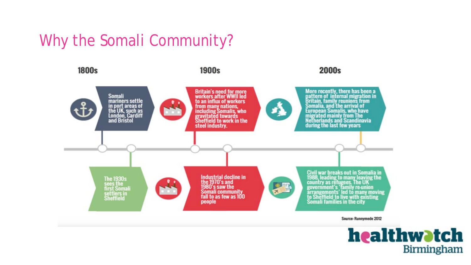### Why the Somali Community?



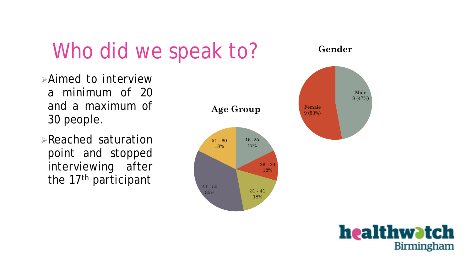





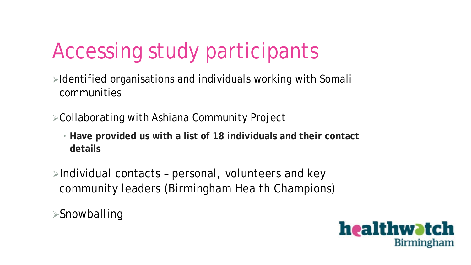# Accessing study participants

- $\triangleright$ Identified organisations and individuals working with Somali communities
- Collaborating with Ashiana Community Project
	- **Have provided us with a list of 18 individuals and their contact details**
- $\triangleright$ Individual contacts personal, volunteers and key community leaders (Birmingham Health Champions)

Snowballing

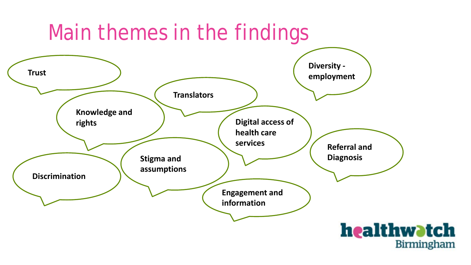### Main themes in the findings



**Birmingham**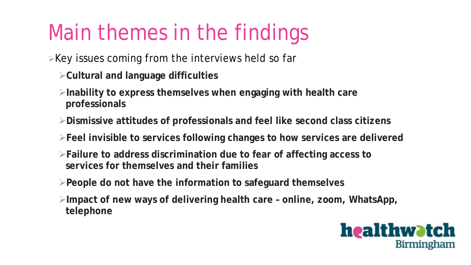# Main themes in the findings

 $\triangleright$  Key issues coming from the interviews held so far

- **Cultural and language difficulties**
- **Inability to express themselves when engaging with health care professionals**
- **Dismissive attitudes of professionals and feel like second class citizens**
- **Feel invisible to services following changes to how services are delivered**
- **Failure to address discrimination due to fear of affecting access to services for themselves and their families**
- **People do not have the information to safeguard themselves**
- **Impact of new ways of delivering health care – online, zoom, WhatsApp, telephone**

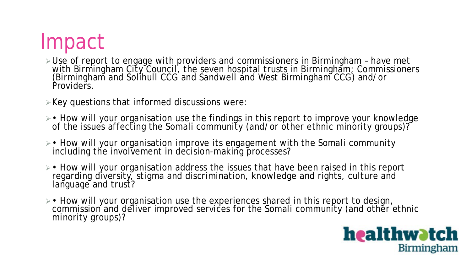# Impact

- Use of report to engage with providers and commissioners in Birmingham have met with Birmingham City Council, the seven hospital trusts in Birmingham; Commissioners (Birmingham and Solihull CCG and Sandwell and West Birmingham CCG) and/or Providers.
- $\triangleright$  Key questions that informed discussions were:
- How will your organisation use the findings in this report to improve your knowledge of the issues affecting the Somali community (and/or other ethnic minority groups)?
- How will your organisation improve its engagement with the Somali community including the involvement in decision-making processes?
- How will your organisation address the issues that have been raised in this report regarding diversity, stigma and discrimination, knowledge and rights, culture and language and trust?
- How will your organisation use the experiences shared in this report to design, commission and deliver improved services for the Somali community (and other ethnic minority groups)?

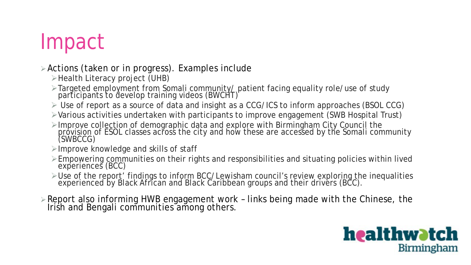## Impact

#### Actions (taken or in progress). Examples include

- $\triangleright$  Health Literacy project (UHB)
- Targeted employment from Somali community/ patient facing equality role/use of study participants to develop training videos (BWCHT)
- Use of report as a source of data and insight as a CCG/ICS to inform approaches (BSOL CCG)
- Various activities undertaken with participants to improve engagement (SWB Hospital Trust)
- ≻Improve collection of demographic data and explore with Birmingham City Council the provision of ESOL classes across the city and how these are accessed by the Somali community (SWBCCG)
- $\triangleright$ Improve knowledge and skills of staff
- Empowering communities on their rights and responsibilities and situating policies within lived experiences (BCC)
- ≻Use of the report' findings to inform BCC/Lewisham council's review exploring the inequalities experienced by Black African and Black Caribbean groups and their drivers (BCC).
- Report also informing HWB engagement work links being made with the Chinese, the Irish and Bengali communities among others.

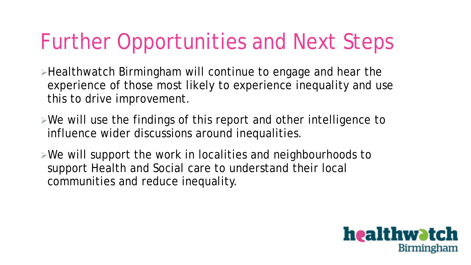# Further Opportunities and Next Steps

Healthwatch Birmingham will continue to engage and hear the experience of those most likely to experience inequality and use this to drive improvement.

- $\triangleright$ We will use the findings of this report and other intelligence to influence wider discussions around inequalities.
- $\triangleright$ We will support the work in localities and neighbourhoods to support Health and Social care to understand their local communities and reduce inequality.